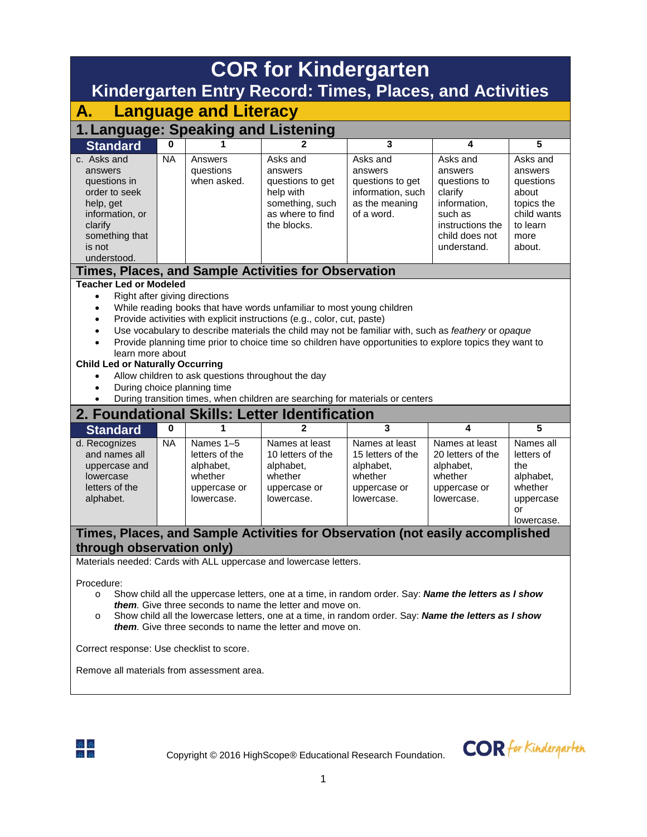| <b>COR for Kindergarten</b><br><b>Kindergarten Entry Record: Times, Places, and Activities</b>                                                      |                                                                                                                                                                                                                                                                                                                                                                                                                                                                                                                                                                                           |                                                                                   |                                                                                                            |                                                                                              |                                                                                                                                |                                                                                                      |  |  |  |  |  |  |
|-----------------------------------------------------------------------------------------------------------------------------------------------------|-------------------------------------------------------------------------------------------------------------------------------------------------------------------------------------------------------------------------------------------------------------------------------------------------------------------------------------------------------------------------------------------------------------------------------------------------------------------------------------------------------------------------------------------------------------------------------------------|-----------------------------------------------------------------------------------|------------------------------------------------------------------------------------------------------------|----------------------------------------------------------------------------------------------|--------------------------------------------------------------------------------------------------------------------------------|------------------------------------------------------------------------------------------------------|--|--|--|--|--|--|
| А.                                                                                                                                                  | <b>Language and Literacy</b>                                                                                                                                                                                                                                                                                                                                                                                                                                                                                                                                                              |                                                                                   |                                                                                                            |                                                                                              |                                                                                                                                |                                                                                                      |  |  |  |  |  |  |
| 1. Language: Speaking and Listening                                                                                                                 |                                                                                                                                                                                                                                                                                                                                                                                                                                                                                                                                                                                           |                                                                                   |                                                                                                            |                                                                                              |                                                                                                                                |                                                                                                      |  |  |  |  |  |  |
| <b>Standard</b>                                                                                                                                     | 0                                                                                                                                                                                                                                                                                                                                                                                                                                                                                                                                                                                         |                                                                                   | 2                                                                                                          | 3                                                                                            | 4                                                                                                                              | 5                                                                                                    |  |  |  |  |  |  |
| c. Asks and<br>answers<br>questions in<br>order to seek<br>help, get<br>information, or<br>clarify<br>something that<br>is not<br>understood.       | <b>NA</b>                                                                                                                                                                                                                                                                                                                                                                                                                                                                                                                                                                                 | Answers<br>questions<br>when asked.                                               | Asks and<br>answers<br>questions to get<br>help with<br>something, such<br>as where to find<br>the blocks. | Asks and<br>answers<br>questions to get<br>information, such<br>as the meaning<br>of a word. | Asks and<br>answers<br>questions to<br>clarify<br>information.<br>such as<br>instructions the<br>child does not<br>understand. | Asks and<br>answers<br>questions<br>about<br>topics the<br>child wants<br>to learn<br>more<br>about. |  |  |  |  |  |  |
|                                                                                                                                                     |                                                                                                                                                                                                                                                                                                                                                                                                                                                                                                                                                                                           |                                                                                   | Times, Places, and Sample Activities for Observation                                                       |                                                                                              |                                                                                                                                |                                                                                                      |  |  |  |  |  |  |
| $\bullet$<br>٠<br>$\bullet$<br>$\bullet$<br>$\bullet$<br>During transition times, when children are searching for materials or centers<br>$\bullet$ | <b>Teacher Led or Modeled</b><br>Right after giving directions<br>While reading books that have words unfamiliar to most young children<br>Provide activities with explicit instructions (e.g., color, cut, paste)<br>Use vocabulary to describe materials the child may not be familiar with, such as feathery or opaque<br>Provide planning time prior to choice time so children have opportunities to explore topics they want to<br>learn more about<br><b>Child Led or Naturally Occurring</b><br>Allow children to ask questions throughout the day<br>During choice planning time |                                                                                   |                                                                                                            |                                                                                              |                                                                                                                                |                                                                                                      |  |  |  |  |  |  |
|                                                                                                                                                     |                                                                                                                                                                                                                                                                                                                                                                                                                                                                                                                                                                                           |                                                                                   | 2. Foundational Skills: Letter Identification                                                              |                                                                                              |                                                                                                                                |                                                                                                      |  |  |  |  |  |  |
| <b>Standard</b>                                                                                                                                     | 0                                                                                                                                                                                                                                                                                                                                                                                                                                                                                                                                                                                         | 1                                                                                 | 2                                                                                                          | 3                                                                                            | 4                                                                                                                              | 5                                                                                                    |  |  |  |  |  |  |
| d. Recognizes<br>and names all<br>uppercase and<br>lowercase<br>letters of the<br>alphabet.                                                         | <b>NA</b>                                                                                                                                                                                                                                                                                                                                                                                                                                                                                                                                                                                 | Names 1-5<br>letters of the<br>alphabet,<br>whether<br>uppercase or<br>lowercase. | Names at least<br>10 letters of the<br>alphabet,<br>whether<br>uppercase or<br>lowercase.                  | Names at least<br>15 letters of the<br>alphabet,<br>whether<br>uppercase or<br>lowercase.    | Names at least<br>20 letters of the<br>alphabet,<br>whether<br>uppercase or<br>lowercase.                                      | Names all<br>letters of<br>the<br>alphabet,<br>whether<br>uppercase<br>or<br>lowercase.              |  |  |  |  |  |  |
| through observation only)                                                                                                                           |                                                                                                                                                                                                                                                                                                                                                                                                                                                                                                                                                                                           |                                                                                   | Times, Places, and Sample Activities for Observation (not easily accomplished                              |                                                                                              |                                                                                                                                |                                                                                                      |  |  |  |  |  |  |
|                                                                                                                                                     |                                                                                                                                                                                                                                                                                                                                                                                                                                                                                                                                                                                           |                                                                                   |                                                                                                            |                                                                                              |                                                                                                                                |                                                                                                      |  |  |  |  |  |  |
| Procedure:<br>$\circ$<br>O                                                                                                                          | Materials needed: Cards with ALL uppercase and lowercase letters.<br>Show child all the uppercase letters, one at a time, in random order. Say: Name the letters as I show<br><i>them.</i> Give three seconds to name the letter and move on.<br>Show child all the lowercase letters, one at a time, in random order. Say: <b>Name the letters as I show</b><br>them. Give three seconds to name the letter and move on.<br>Correct response: Use checklist to score.<br>Remove all materials from assessment area.                                                                      |                                                                                   |                                                                                                            |                                                                                              |                                                                                                                                |                                                                                                      |  |  |  |  |  |  |



Copyright © 2016 HighScope® Educational Research Foundation.

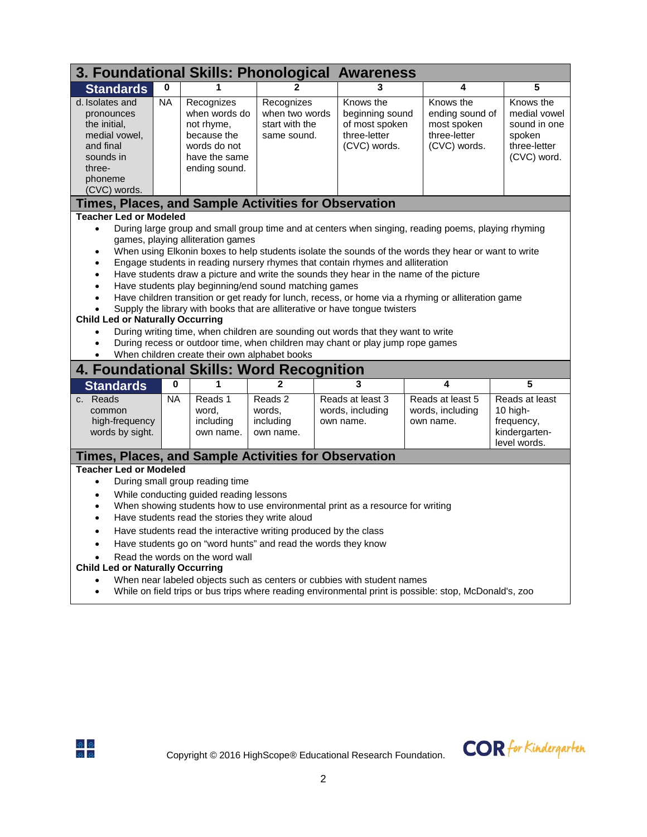|                                                                                                                                                                                                                                                                                                                                                                                                                                                                                                                                                                                                                                                                                                                                                                                                                                       | 3. Foundational Skills: Phonological Awareness                                                                                                                                                                                                                                                                                                                                                                                                                                                                                                                                                                                                                                                                                                                                                                                                                                                                                                                                  |                                            |                                             |                                                             |                                                   |                                                                           |  |  |  |  |  |
|---------------------------------------------------------------------------------------------------------------------------------------------------------------------------------------------------------------------------------------------------------------------------------------------------------------------------------------------------------------------------------------------------------------------------------------------------------------------------------------------------------------------------------------------------------------------------------------------------------------------------------------------------------------------------------------------------------------------------------------------------------------------------------------------------------------------------------------|---------------------------------------------------------------------------------------------------------------------------------------------------------------------------------------------------------------------------------------------------------------------------------------------------------------------------------------------------------------------------------------------------------------------------------------------------------------------------------------------------------------------------------------------------------------------------------------------------------------------------------------------------------------------------------------------------------------------------------------------------------------------------------------------------------------------------------------------------------------------------------------------------------------------------------------------------------------------------------|--------------------------------------------|---------------------------------------------|-------------------------------------------------------------|---------------------------------------------------|---------------------------------------------------------------------------|--|--|--|--|--|
| <b>Standards</b>                                                                                                                                                                                                                                                                                                                                                                                                                                                                                                                                                                                                                                                                                                                                                                                                                      | $\mathbf 0$                                                                                                                                                                                                                                                                                                                                                                                                                                                                                                                                                                                                                                                                                                                                                                                                                                                                                                                                                                     |                                            |                                             | 3                                                           | 4                                                 | 5                                                                         |  |  |  |  |  |
| <b>NA</b><br>Knows the<br>Knows the<br>Knows the<br>d. Isolates and<br>Recognizes<br>Recognizes<br>when words do<br>when two words<br>medial vowel<br>beginning sound<br>ending sound of<br>pronounces<br>start with the<br>of most spoken<br>most spoken<br>sound in one<br>the initial.<br>not rhyme,<br>three-letter<br>three-letter<br>medial vowel,<br>because the<br>spoken<br>same sound.<br>(CVC) words.<br>(CVC) words.<br>three-letter<br>and final<br>words do not<br>have the same<br>(CVC) word.<br>sounds in<br>three-<br>ending sound.<br>phoneme<br>(CVC) words.                                                                                                                                                                                                                                                      |                                                                                                                                                                                                                                                                                                                                                                                                                                                                                                                                                                                                                                                                                                                                                                                                                                                                                                                                                                                 |                                            |                                             |                                                             |                                                   |                                                                           |  |  |  |  |  |
|                                                                                                                                                                                                                                                                                                                                                                                                                                                                                                                                                                                                                                                                                                                                                                                                                                       |                                                                                                                                                                                                                                                                                                                                                                                                                                                                                                                                                                                                                                                                                                                                                                                                                                                                                                                                                                                 |                                            |                                             | <b>Times, Places, and Sample Activities for Observation</b> |                                                   |                                                                           |  |  |  |  |  |
| $\bullet$<br>$\bullet$<br>$\bullet$<br>$\bullet$                                                                                                                                                                                                                                                                                                                                                                                                                                                                                                                                                                                                                                                                                                                                                                                      | <b>Teacher Led or Modeled</b><br>During large group and small group time and at centers when singing, reading poems, playing rhyming<br>games, playing alliteration games<br>When using Elkonin boxes to help students isolate the sounds of the words they hear or want to write<br>Engage students in reading nursery rhymes that contain rhymes and alliteration<br>Have students draw a picture and write the sounds they hear in the name of the picture<br>Have students play beginning/end sound matching games<br>Have children transition or get ready for lunch, recess, or home via a rhyming or alliteration game<br>Supply the library with books that are alliterative or have tongue twisters<br><b>Child Led or Naturally Occurring</b><br>During writing time, when children are sounding out words that they want to write<br>During recess or outdoor time, when children may chant or play jump rope games<br>When children create their own alphabet books |                                            |                                             |                                                             |                                                   |                                                                           |  |  |  |  |  |
| 4. Foundational Skills: Word Recognition                                                                                                                                                                                                                                                                                                                                                                                                                                                                                                                                                                                                                                                                                                                                                                                              | $\bf{0}$                                                                                                                                                                                                                                                                                                                                                                                                                                                                                                                                                                                                                                                                                                                                                                                                                                                                                                                                                                        | 1                                          | $\mathfrak{p}$                              | 3                                                           | 4                                                 | 5                                                                         |  |  |  |  |  |
| <b>Standards</b><br>c. Reads<br>common<br>high-frequency<br>words by sight.                                                                                                                                                                                                                                                                                                                                                                                                                                                                                                                                                                                                                                                                                                                                                           | <b>NA</b>                                                                                                                                                                                                                                                                                                                                                                                                                                                                                                                                                                                                                                                                                                                                                                                                                                                                                                                                                                       | Reads 1<br>word,<br>including<br>own name. | Reads 2<br>words.<br>including<br>own name. | Reads at least 3<br>words, including<br>own name.           | Reads at least 5<br>words, including<br>own name. | Reads at least<br>10 high-<br>frequency,<br>kindergarten-<br>level words. |  |  |  |  |  |
|                                                                                                                                                                                                                                                                                                                                                                                                                                                                                                                                                                                                                                                                                                                                                                                                                                       |                                                                                                                                                                                                                                                                                                                                                                                                                                                                                                                                                                                                                                                                                                                                                                                                                                                                                                                                                                                 |                                            |                                             |                                                             |                                                   |                                                                           |  |  |  |  |  |
| Times, Places, and Sample Activities for Observation<br><b>Teacher Led or Modeled</b><br>During small group reading time<br>$\bullet$<br>While conducting guided reading lessons<br>$\bullet$<br>When showing students how to use environmental print as a resource for writing<br>$\bullet$<br>Have students read the stories they write aloud<br>$\bullet$<br>Have students read the interactive writing produced by the class<br>$\bullet$<br>Have students go on "word hunts" and read the words they know<br>$\bullet$<br>Read the words on the word wall<br>$\bullet$<br><b>Child Led or Naturally Occurring</b><br>When near labeled objects such as centers or cubbies with student names<br>$\bullet$<br>While on field trips or bus trips where reading environmental print is possible: stop, McDonald's, zoo<br>$\bullet$ |                                                                                                                                                                                                                                                                                                                                                                                                                                                                                                                                                                                                                                                                                                                                                                                                                                                                                                                                                                                 |                                            |                                             |                                                             |                                                   |                                                                           |  |  |  |  |  |



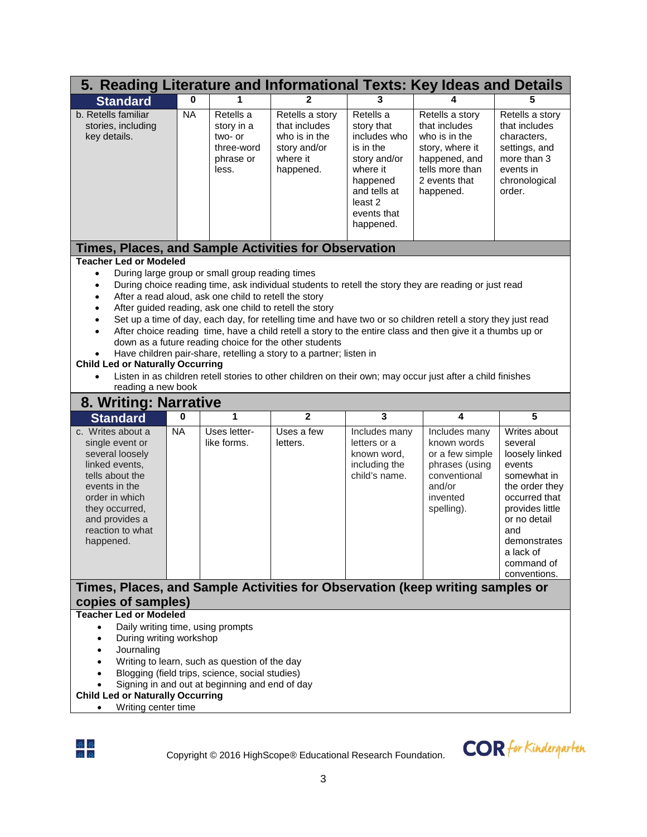| 5. Reading Literature and Informational Texts: Key Ideas and Details                                                                                                                                                    |                       |                                                                                                                                                    |                                                                                                                                                                                          |                                                                                                                                                                |                                                                                                                                                                                                                                                                                                                                                                                                                                                   |                                                                                                                                                                                                                              |
|-------------------------------------------------------------------------------------------------------------------------------------------------------------------------------------------------------------------------|-----------------------|----------------------------------------------------------------------------------------------------------------------------------------------------|------------------------------------------------------------------------------------------------------------------------------------------------------------------------------------------|----------------------------------------------------------------------------------------------------------------------------------------------------------------|---------------------------------------------------------------------------------------------------------------------------------------------------------------------------------------------------------------------------------------------------------------------------------------------------------------------------------------------------------------------------------------------------------------------------------------------------|------------------------------------------------------------------------------------------------------------------------------------------------------------------------------------------------------------------------------|
| <b>Standard</b>                                                                                                                                                                                                         | 0                     | 1                                                                                                                                                  | 2                                                                                                                                                                                        | 3                                                                                                                                                              |                                                                                                                                                                                                                                                                                                                                                                                                                                                   | 5                                                                                                                                                                                                                            |
| b. Retells familiar<br>stories, including<br>key details.                                                                                                                                                               | <b>NA</b>             | Retells a<br>story in a<br>two- or<br>three-word<br>phrase or<br>less.                                                                             | Retells a story<br>that includes<br>who is in the<br>story and/or<br>where it<br>happened.                                                                                               | Retells a<br>story that<br>includes who<br>is in the<br>story and/or<br>where it<br>happened<br>and tells at<br>least <sub>2</sub><br>events that<br>happened. | Retells a story<br>that includes<br>who is in the<br>story, where it<br>happened, and<br>tells more than<br>2 events that<br>happened.                                                                                                                                                                                                                                                                                                            | Retells a story<br>that includes<br>characters,<br>settings, and<br>more than 3<br>events in<br>chronological<br>order.                                                                                                      |
| Times, Places, and Sample Activities for Observation                                                                                                                                                                    |                       |                                                                                                                                                    |                                                                                                                                                                                          |                                                                                                                                                                |                                                                                                                                                                                                                                                                                                                                                                                                                                                   |                                                                                                                                                                                                                              |
| <b>Teacher Led or Modeled</b><br>$\bullet$<br>$\bullet$<br>$\bullet$<br>$\bullet$<br>$\bullet$<br>$\bullet$<br><b>Child Led or Naturally Occurring</b><br>$\bullet$<br>reading a new book                               |                       | During large group or small group reading times<br>After a read aloud, ask one child to retell the story                                           | After guided reading, ask one child to retell the story<br>down as a future reading choice for the other students<br>Have children pair-share, retelling a story to a partner; listen in |                                                                                                                                                                | During choice reading time, ask individual students to retell the story they are reading or just read<br>Set up a time of day, each day, for retelling time and have two or so children retell a story they just read<br>After choice reading time, have a child retell a story to the entire class and then give it a thumbs up or<br>Listen in as children retell stories to other children on their own; may occur just after a child finishes |                                                                                                                                                                                                                              |
| 8. Writing: Narrative                                                                                                                                                                                                   |                       |                                                                                                                                                    |                                                                                                                                                                                          |                                                                                                                                                                |                                                                                                                                                                                                                                                                                                                                                                                                                                                   |                                                                                                                                                                                                                              |
| <b>Standard</b><br>c. Writes about a<br>single event or<br>several loosely<br>linked events,<br>tells about the<br>events in the<br>order in which<br>they occurred,<br>and provides a<br>reaction to what<br>happened. | $\bf{0}$<br><b>NA</b> | 1<br>Uses letter-<br>like forms.                                                                                                                   | $\overline{2}$<br>Uses a few<br>letters.                                                                                                                                                 | $\overline{\mathbf{3}}$<br>Includes many<br>letters or a<br>known word,<br>including the<br>child's name.                                                      | 4<br>Includes many<br>known words<br>or a few simple<br>phrases (using<br>conventional<br>and/or<br>invented<br>spelling).                                                                                                                                                                                                                                                                                                                        | $\overline{5}$<br>Writes about<br>several<br>loosely linked<br>events<br>somewhat in<br>the order they<br>occurred that<br>provides little<br>or no detail<br>and<br>demonstrates<br>a lack of<br>command of<br>conventions. |
| Times, Places, and Sample Activities for Observation (keep writing samples or                                                                                                                                           |                       |                                                                                                                                                    |                                                                                                                                                                                          |                                                                                                                                                                |                                                                                                                                                                                                                                                                                                                                                                                                                                                   |                                                                                                                                                                                                                              |
| copies of samples)<br><b>Teacher Led or Modeled</b><br>Daily writing time, using prompts<br>$\bullet$<br>During writing workshop<br>Journaling<br><b>Child Led or Naturally Occurring</b><br>Writing center time        |                       | Writing to learn, such as question of the day<br>Blogging (field trips, science, social studies)<br>Signing in and out at beginning and end of day |                                                                                                                                                                                          |                                                                                                                                                                |                                                                                                                                                                                                                                                                                                                                                                                                                                                   |                                                                                                                                                                                                                              |



Copyright © 2016 HighScope® Educational Research Foundation.

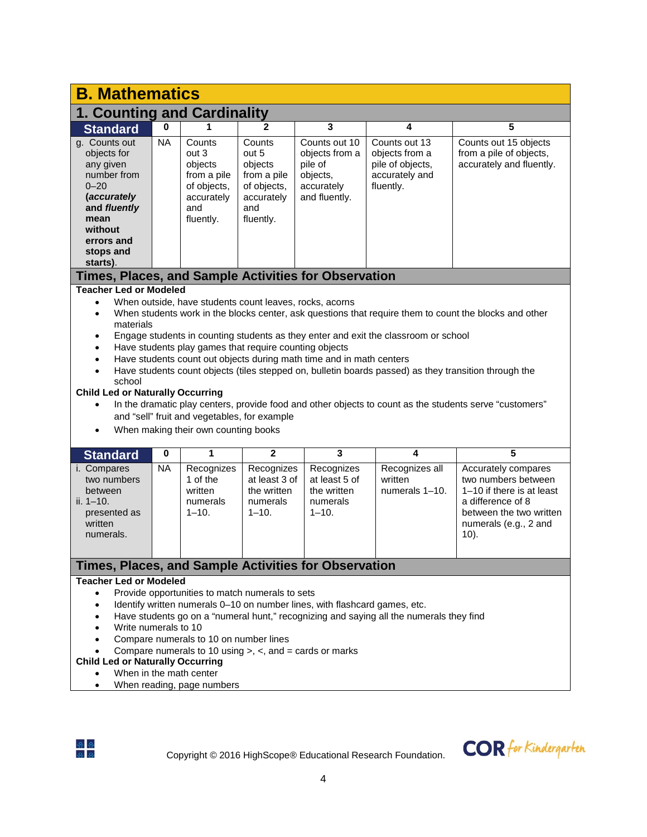| <b>B. Mathematics</b>                                                                                                                                                                                                                                                                                                                                                                                                                                                                                           |                                                                                                                                                                                                                                                                                                                                                                                                                                                                                                                                                                                                                                                                                                                                                                                                                                                                                                                                                                                                                                                                                                                                                                            |                                                                                            |                                                                                            |                                                                                       |                                                                                    |                                                                              |  |  |  |  |  |
|-----------------------------------------------------------------------------------------------------------------------------------------------------------------------------------------------------------------------------------------------------------------------------------------------------------------------------------------------------------------------------------------------------------------------------------------------------------------------------------------------------------------|----------------------------------------------------------------------------------------------------------------------------------------------------------------------------------------------------------------------------------------------------------------------------------------------------------------------------------------------------------------------------------------------------------------------------------------------------------------------------------------------------------------------------------------------------------------------------------------------------------------------------------------------------------------------------------------------------------------------------------------------------------------------------------------------------------------------------------------------------------------------------------------------------------------------------------------------------------------------------------------------------------------------------------------------------------------------------------------------------------------------------------------------------------------------------|--------------------------------------------------------------------------------------------|--------------------------------------------------------------------------------------------|---------------------------------------------------------------------------------------|------------------------------------------------------------------------------------|------------------------------------------------------------------------------|--|--|--|--|--|
| 1. Counting and Cardinality                                                                                                                                                                                                                                                                                                                                                                                                                                                                                     |                                                                                                                                                                                                                                                                                                                                                                                                                                                                                                                                                                                                                                                                                                                                                                                                                                                                                                                                                                                                                                                                                                                                                                            |                                                                                            |                                                                                            |                                                                                       |                                                                                    |                                                                              |  |  |  |  |  |
| <b>Standard</b>                                                                                                                                                                                                                                                                                                                                                                                                                                                                                                 | 0                                                                                                                                                                                                                                                                                                                                                                                                                                                                                                                                                                                                                                                                                                                                                                                                                                                                                                                                                                                                                                                                                                                                                                          | 1                                                                                          | $\mathbf{2}$                                                                               | 3                                                                                     | 4                                                                                  | 5                                                                            |  |  |  |  |  |
| g. Counts out<br>objects for<br>any given<br>number from<br>$0 - 20$<br>(accurately<br>and fluently<br>mean<br>without<br>errors and<br>stops and<br>starts).                                                                                                                                                                                                                                                                                                                                                   | <b>NA</b>                                                                                                                                                                                                                                                                                                                                                                                                                                                                                                                                                                                                                                                                                                                                                                                                                                                                                                                                                                                                                                                                                                                                                                  | Counts<br>out 3<br>objects<br>from a pile<br>of objects,<br>accurately<br>and<br>fluently. | Counts<br>out 5<br>objects<br>from a pile<br>of objects,<br>accurately<br>and<br>fluently. | Counts out 10<br>objects from a<br>pile of<br>objects,<br>accurately<br>and fluently. | Counts out 13<br>objects from a<br>pile of objects,<br>accurately and<br>fluently. | Counts out 15 objects<br>from a pile of objects,<br>accurately and fluently. |  |  |  |  |  |
|                                                                                                                                                                                                                                                                                                                                                                                                                                                                                                                 |                                                                                                                                                                                                                                                                                                                                                                                                                                                                                                                                                                                                                                                                                                                                                                                                                                                                                                                                                                                                                                                                                                                                                                            |                                                                                            |                                                                                            |                                                                                       |                                                                                    |                                                                              |  |  |  |  |  |
| $\bullet$<br>$\bullet$<br>$\bullet$<br>$\bullet$<br>$\bullet$<br>$\bullet$<br>school<br>$\bullet$<br><b>Standard</b><br>i. Compares<br>two numbers<br>between<br>ii. $1 - 10$ .                                                                                                                                                                                                                                                                                                                                 | Times, Places, and Sample Activities for Observation<br><b>Teacher Led or Modeled</b><br>When outside, have students count leaves, rocks, acorns<br>When students work in the blocks center, ask questions that require them to count the blocks and other<br>materials<br>Engage students in counting students as they enter and exit the classroom or school<br>Have students play games that require counting objects<br>Have students count out objects during math time and in math centers<br>Have students count objects (tiles stepped on, bulletin boards passed) as they transition through the<br><b>Child Led or Naturally Occurring</b><br>In the dramatic play centers, provide food and other objects to count as the students serve "customers"<br>and "sell" fruit and vegetables, for example<br>When making their own counting books<br>1<br>$\overline{2}$<br>3<br>5<br>4<br>0<br><b>NA</b><br>Recognizes<br>Recognizes<br>Recognizes<br>Recognizes all<br>Accurately compares<br>1 of the<br>at least 3 of<br>at least 5 of<br>written<br>two numbers between<br>numerals 1-10.<br>1-10 if there is at least<br>written<br>the written<br>the written |                                                                                            |                                                                                            |                                                                                       |                                                                                    |                                                                              |  |  |  |  |  |
| presented as<br>written<br>numerals.                                                                                                                                                                                                                                                                                                                                                                                                                                                                            |                                                                                                                                                                                                                                                                                                                                                                                                                                                                                                                                                                                                                                                                                                                                                                                                                                                                                                                                                                                                                                                                                                                                                                            | $1 - 10.$                                                                                  | $1 - 10.$                                                                                  | $1 - 10.$                                                                             |                                                                                    | between the two written<br>numerals (e.g., 2 and<br>$10$ ).                  |  |  |  |  |  |
| Times, Places, and Sample Activities for Observation                                                                                                                                                                                                                                                                                                                                                                                                                                                            |                                                                                                                                                                                                                                                                                                                                                                                                                                                                                                                                                                                                                                                                                                                                                                                                                                                                                                                                                                                                                                                                                                                                                                            |                                                                                            |                                                                                            |                                                                                       |                                                                                    |                                                                              |  |  |  |  |  |
| <b>Teacher Led or Modeled</b><br>Provide opportunities to match numerals to sets<br>$\bullet$<br>Identify written numerals 0-10 on number lines, with flashcard games, etc.<br>Have students go on a "numeral hunt," recognizing and saying all the numerals they find<br>Write numerals to 10<br>Compare numerals to 10 on number lines<br>Compare numerals to 10 using $>$ , $<$ , and $=$ cards or marks<br><b>Child Led or Naturally Occurring</b><br>When in the math center<br>When reading, page numbers |                                                                                                                                                                                                                                                                                                                                                                                                                                                                                                                                                                                                                                                                                                                                                                                                                                                                                                                                                                                                                                                                                                                                                                            |                                                                                            |                                                                                            |                                                                                       |                                                                                    |                                                                              |  |  |  |  |  |



Copyright © 2016 HighScope® Educational Research Foundation.

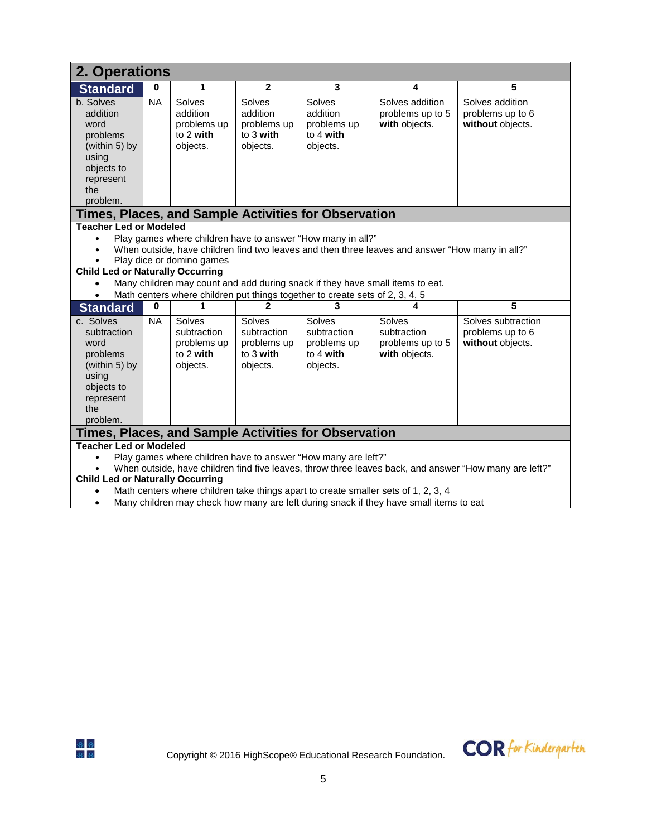| 2. Operations                                                                                                                                                                                                                                                                                                                                                                                                                                                    |           |                                                            |                                                            |                                                                                                                                                                                                                              |                                                                                                 |                                                         |  |  |  |  |  |
|------------------------------------------------------------------------------------------------------------------------------------------------------------------------------------------------------------------------------------------------------------------------------------------------------------------------------------------------------------------------------------------------------------------------------------------------------------------|-----------|------------------------------------------------------------|------------------------------------------------------------|------------------------------------------------------------------------------------------------------------------------------------------------------------------------------------------------------------------------------|-------------------------------------------------------------------------------------------------|---------------------------------------------------------|--|--|--|--|--|
| <b>Standard</b>                                                                                                                                                                                                                                                                                                                                                                                                                                                  | $\bf{0}$  | 1                                                          | $\overline{2}$                                             | 3                                                                                                                                                                                                                            | 4                                                                                               | 5                                                       |  |  |  |  |  |
| b. Solves<br>addition<br>word<br>problems<br>(within 5) by<br>using<br>objects to<br>represent<br>the<br>problem.                                                                                                                                                                                                                                                                                                                                                | <b>NA</b> | Solves<br>addition<br>problems up<br>to 2 with<br>objects. | Solves<br>addition<br>problems up<br>to 3 with<br>objects. | Solves<br>addition<br>problems up<br>to 4 with<br>objects.                                                                                                                                                                   | Solves addition<br>problems up to 5<br>with objects.                                            | Solves addition<br>problems up to 6<br>without objects. |  |  |  |  |  |
|                                                                                                                                                                                                                                                                                                                                                                                                                                                                  |           |                                                            |                                                            | Times, Places, and Sample Activities for Observation                                                                                                                                                                         |                                                                                                 |                                                         |  |  |  |  |  |
| <b>Child Led or Naturally Occurring</b>                                                                                                                                                                                                                                                                                                                                                                                                                          |           | Play dice or domino games                                  |                                                            | Play games where children have to answer "How many in all?"<br>Many children may count and add during snack if they have small items to eat.<br>Math centers where children put things together to create sets of 2, 3, 4, 5 | When outside, have children find two leaves and then three leaves and answer "How many in all?" |                                                         |  |  |  |  |  |
| <b>Standard</b>                                                                                                                                                                                                                                                                                                                                                                                                                                                  | 0         |                                                            | 2                                                          | 3                                                                                                                                                                                                                            | 4                                                                                               | 5                                                       |  |  |  |  |  |
| c. Solves<br><b>NA</b><br>Solves<br>Solves subtraction<br>Solves<br>Solves<br>Solves<br>subtraction<br>subtraction<br>subtraction<br>subtraction<br>subtraction<br>problems up to 6<br>problems up to 5<br>without objects.<br>problems up<br>problems up<br>problems up<br>word<br>to 3 with<br>to 2 with<br>to 4 with<br>with objects.<br>problems<br>(within 5) by<br>objects.<br>objects.<br>objects.<br>using<br>objects to<br>represent<br>the<br>problem. |           |                                                            |                                                            |                                                                                                                                                                                                                              |                                                                                                 |                                                         |  |  |  |  |  |
|                                                                                                                                                                                                                                                                                                                                                                                                                                                                  |           |                                                            |                                                            |                                                                                                                                                                                                                              |                                                                                                 |                                                         |  |  |  |  |  |
| Times, Places, and Sample Activities for Observation<br><b>Teacher Led or Modeled</b><br>Play games where children have to answer "How many are left?"<br>When outside, have children find five leaves, throw three leaves back, and answer "How many are left?"<br><b>Child Led or Naturally Occurring</b><br>$\mathbf{r}$ and $\mathbf{r}$ are the set of $\mathbf{r}$ and $\mathbf{r}$ are the set of $\mathbf{r}$ and $\mathbf{r}$                           |           |                                                            |                                                            |                                                                                                                                                                                                                              |                                                                                                 |                                                         |  |  |  |  |  |

- Math centers where children take things apart to create smaller sets of 1, 2, 3, 4
- Many children may check how many are left during snack if they have small items to eat

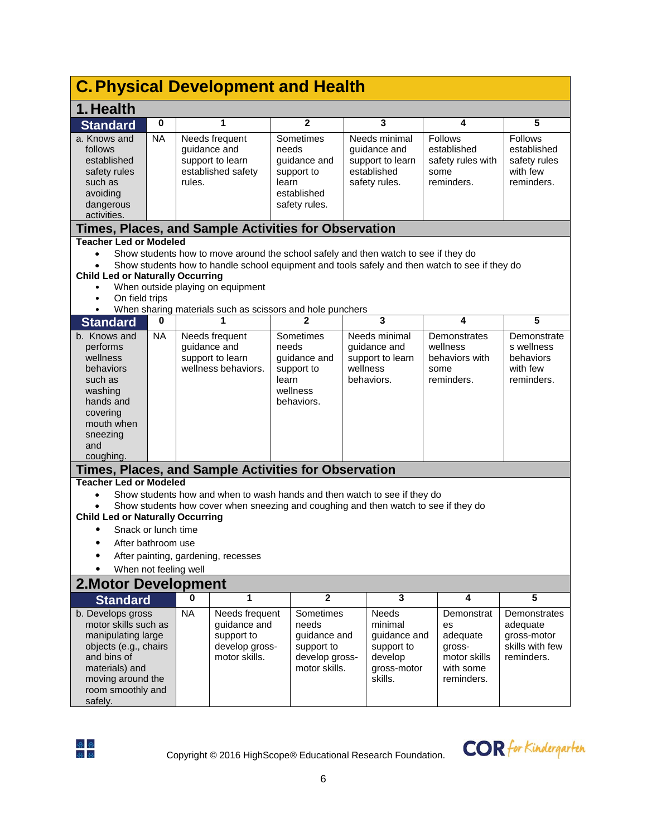| <b>C. Physical Development and Health</b>                                                                                                                                      |             |           |                                                                                                                                                                                                         |       |                                                                                     |  |                                                                                     |      |                                                                                                |                                                                          |  |
|--------------------------------------------------------------------------------------------------------------------------------------------------------------------------------|-------------|-----------|---------------------------------------------------------------------------------------------------------------------------------------------------------------------------------------------------------|-------|-------------------------------------------------------------------------------------|--|-------------------------------------------------------------------------------------|------|------------------------------------------------------------------------------------------------|--------------------------------------------------------------------------|--|
| 1. Health                                                                                                                                                                      |             |           |                                                                                                                                                                                                         |       |                                                                                     |  |                                                                                     |      |                                                                                                |                                                                          |  |
| <b>Standard</b>                                                                                                                                                                | $\mathbf 0$ |           | 1                                                                                                                                                                                                       |       | 2                                                                                   |  | 3                                                                                   |      | 4                                                                                              | 5                                                                        |  |
| a. Knows and<br>follows<br>established<br>safety rules<br>such as<br>avoiding<br>dangerous<br>activities.                                                                      | <b>NA</b>   | rules.    | Needs frequent<br>guidance and<br>support to learn<br>established safety                                                                                                                                | learn | Sometimes<br>needs<br>guidance and<br>support to<br>established<br>safety rules.    |  | Needs minimal<br>guidance and<br>support to learn<br>established<br>safety rules.   | some | <b>Follows</b><br>established<br>safety rules with<br>reminders.                               | Follows<br>established<br>safety rules<br>with few<br>reminders.         |  |
| Times, Places, and Sample Activities for Observation                                                                                                                           |             |           |                                                                                                                                                                                                         |       |                                                                                     |  |                                                                                     |      |                                                                                                |                                                                          |  |
| <b>Teacher Led or Modeled</b><br>$\bullet$<br><b>Child Led or Naturally Occurring</b><br>On field trips<br>$\bullet$<br>$\bullet$                                              |             |           | Show students how to move around the school safely and then watch to see if they do<br>When outside playing on equipment<br>When sharing materials such as scissors and hole punchers                   |       |                                                                                     |  |                                                                                     |      | Show students how to handle school equipment and tools safely and then watch to see if they do |                                                                          |  |
| <b>Standard</b>                                                                                                                                                                | 0           |           |                                                                                                                                                                                                         |       |                                                                                     |  | 3                                                                                   |      | 4                                                                                              | 5                                                                        |  |
| b. Knows and<br>performs<br>wellness<br>behaviors<br>such as<br>washing<br>hands and<br>covering<br>mouth when<br>sneezing<br>and<br>coughing.                                 | <b>NA</b>   |           | Needs frequent<br>guidance and<br>support to learn<br>wellness behaviors.                                                                                                                               | learn | Sometimes<br>needs<br>guidance and<br>support to<br>wellness<br>behaviors.          |  | Needs minimal<br>guidance and<br>support to learn<br>wellness<br>behaviors.         | some | Demonstrates<br>wellness<br>behaviors with<br>reminders.                                       | Demonstrate<br>s wellness<br>behaviors<br>with few<br>reminders.         |  |
| Times, Places, and Sample Activities for Observation                                                                                                                           |             |           |                                                                                                                                                                                                         |       |                                                                                     |  |                                                                                     |      |                                                                                                |                                                                          |  |
| <b>Teacher Led or Modeled</b><br><b>Child Led or Naturally Occurring</b><br>Snack or lunch time<br>After bathroom use<br>When not feeling well                                 |             |           | Show students how and when to wash hands and then watch to see if they do<br>Show students how cover when sneezing and coughing and then watch to see if they do<br>After painting, gardening, recesses |       |                                                                                     |  |                                                                                     |      |                                                                                                |                                                                          |  |
| <b>2. Motor Development</b>                                                                                                                                                    |             |           |                                                                                                                                                                                                         |       |                                                                                     |  |                                                                                     |      |                                                                                                |                                                                          |  |
| <b>Standard</b>                                                                                                                                                                |             | $\bf{0}$  | 1                                                                                                                                                                                                       |       | $\mathbf{2}$                                                                        |  | 3                                                                                   |      | 4                                                                                              | 5                                                                        |  |
| b. Develops gross<br>motor skills such as<br>manipulating large<br>objects (e.g., chairs<br>and bins of<br>materials) and<br>moving around the<br>room smoothly and<br>safely. |             | <b>NA</b> | Needs frequent<br>guidance and<br>support to<br>develop gross-<br>motor skills.                                                                                                                         |       | Sometimes<br>needs<br>guidance and<br>support to<br>develop gross-<br>motor skills. |  | Needs<br>minimal<br>guidance and<br>support to<br>develop<br>gross-motor<br>skills. |      | Demonstrat<br>es<br>adequate<br>gross-<br>motor skills<br>with some<br>reminders.              | Demonstrates<br>adequate<br>gross-motor<br>skills with few<br>reminders. |  |



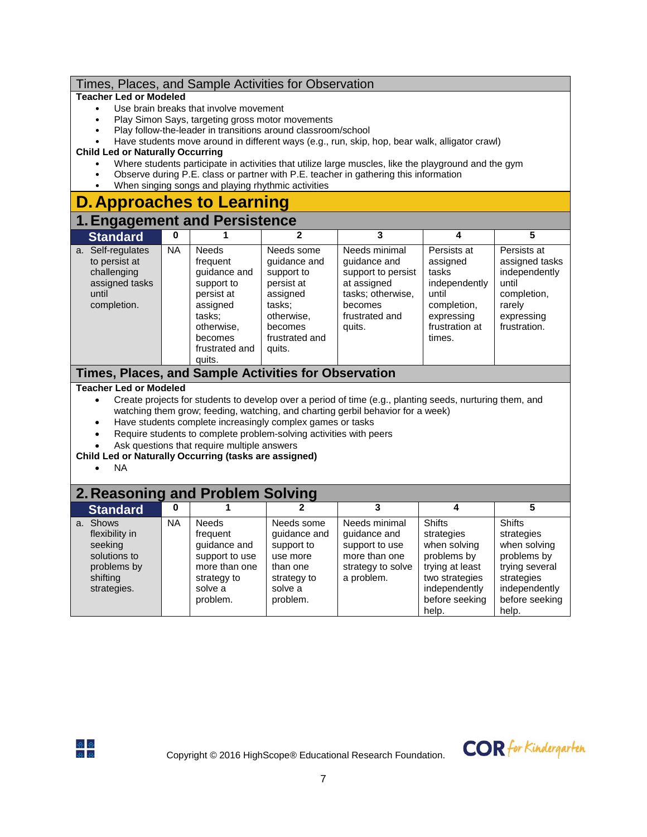## Times, Places, and Sample Activities for Observation

### **Teacher Led or Modeled**

- Use brain breaks that involve movement
- Play Simon Says, targeting gross motor movements
- Play follow-the-leader in transitions around classroom/school
- Have students move around in different ways (e.g., run, skip, hop, bear walk, alligator crawl)

## **Child Led or Naturally Occurring**

- Where students participate in activities that utilize large muscles, like the playground and the gym
- Observe during P.E. class or partner with P.E. teacher in gathering this information
- When singing songs and playing rhythmic activities

# **D.Approaches to Learning**

# **Engagement and Persistence**

| - -<br><b>Standard</b>                                                                         | 0   |                                                                                                                                                 |                                                                                                                                   |                                                                                                                                |                                                                                                                     |                                                                                                                |
|------------------------------------------------------------------------------------------------|-----|-------------------------------------------------------------------------------------------------------------------------------------------------|-----------------------------------------------------------------------------------------------------------------------------------|--------------------------------------------------------------------------------------------------------------------------------|---------------------------------------------------------------------------------------------------------------------|----------------------------------------------------------------------------------------------------------------|
| Self-regulates<br>a.<br>to persist at<br>challenging<br>assigned tasks<br>until<br>completion. | NA. | <b>Needs</b><br>frequent<br>quidance and<br>support to<br>persist at<br>assigned<br>tasks:<br>otherwise,<br>becomes<br>frustrated and<br>quits. | Needs some<br>quidance and<br>support to<br>persist at<br>assigned<br>tasks:<br>otherwise,<br>becomes<br>frustrated and<br>quits. | Needs minimal<br>quidance and<br>support to persist<br>at assigned<br>tasks; otherwise,<br>becomes<br>frustrated and<br>quits. | Persists at<br>assigned<br>tasks<br>independently<br>until<br>completion,<br>expressing<br>frustration at<br>times. | Persists at<br>assigned tasks<br>independently<br>until<br>completion,<br>rarely<br>expressing<br>frustration. |

# **Times, Places, and Sample Activities for Observation**

### **Teacher Led or Modeled**

- Create projects for students to develop over a period of time (e.g., planting seeds, nurturing them, and watching them grow; feeding, watching, and charting gerbil behavior for a week)
- Have students complete increasingly complex games or tasks
- Require students to complete problem-solving activities with peers
- Ask questions that require multiple answers

## **Child Led or Naturally Occurring (tasks are assigned)**

• NA

### **2. Reasoning and Problem Solving**<br>Standard **0** 1 1 2 **Standard 0 1 2 3 4 5** a. Shows flexibility in seeking solutions to problems by shifting strategies. NA Needs frequent guidance and support to use more than one strategy to solve a problem. Needs some guidance and support to use more than one strategy to solve a problem. Needs minimal guidance and support to use more than one strategy to solve a problem. **Shifts** strategies when solving problems by trying at least two strategies independently before seeking help. **Shifts** strategies when solving problems by trying several strategies independently before seeking help.



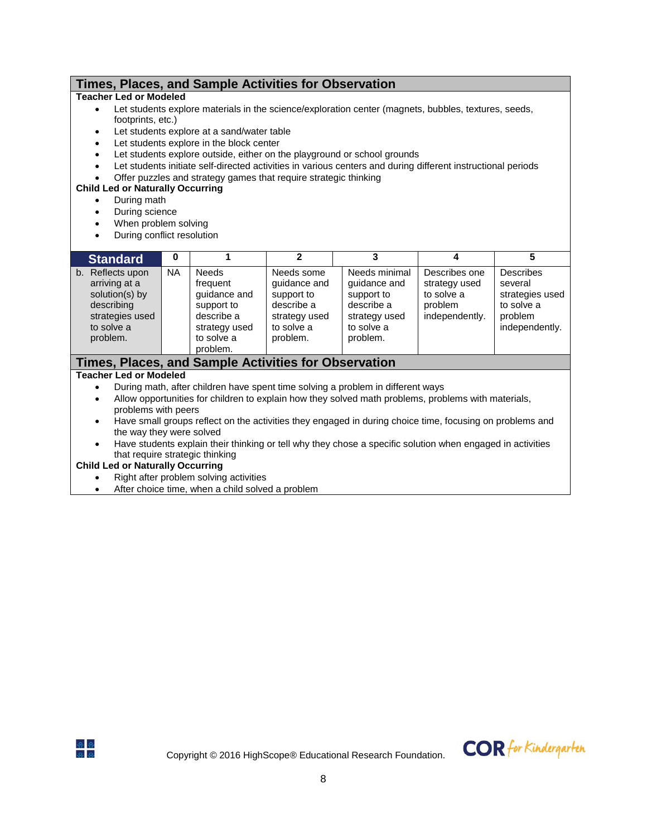# **Times, Places, and Sample Activities for Observation**

### **Teacher Led or Modeled**

- Let students explore materials in the science/exploration center (magnets, bubbles, textures, seeds, footprints, etc.)
- Let students explore at a sand/water table
- Let students explore in the block center
- Let students explore outside, either on the playground or school grounds
- Let students initiate self-directed activities in various centers and during different instructional periods
- Offer puzzles and strategy games that require strategic thinking

## **Child Led or Naturally Occurring**

- During math
- During science
- When problem solving
- During conflict resolution

| <b>Standard</b>                                                                                                            | 0         |                                                                                                                 |                                                                                                   |                                                                                                      |                                                                           |                                                                                           |
|----------------------------------------------------------------------------------------------------------------------------|-----------|-----------------------------------------------------------------------------------------------------------------|---------------------------------------------------------------------------------------------------|------------------------------------------------------------------------------------------------------|---------------------------------------------------------------------------|-------------------------------------------------------------------------------------------|
| Reflects upon<br>$b_{\cdot}$<br>arriving at a<br>solution(s) by<br>describing<br>strategies used<br>to solve a<br>problem. | <b>NA</b> | <b>Needs</b><br>frequent<br>quidance and<br>support to<br>describe a<br>strategy used<br>to solve a<br>problem. | Needs some<br>quidance and<br>support to<br>describe a<br>strategy used<br>to solve a<br>problem. | Needs minimal<br>quidance and<br>support to<br>describe a<br>strategy used<br>to solve a<br>problem. | Describes one<br>strategy used<br>to solve a<br>problem<br>independently. | <b>Describes</b><br>several<br>strategies used<br>to solve a<br>problem<br>independently. |

## **Times, Places, and Sample Activities for Observation**

### **Teacher Led or Modeled**

- During math, after children have spent time solving a problem in different ways
- Allow opportunities for children to explain how they solved math problems, problems with materials, problems with peers
- Have small groups reflect on the activities they engaged in during choice time, focusing on problems and the way they were solved
- Have students explain their thinking or tell why they chose a specific solution when engaged in activities that require strategic thinking

### **Child Led or Naturally Occurring**

- Right after problem solving activities
- After choice time, when a child solved a problem



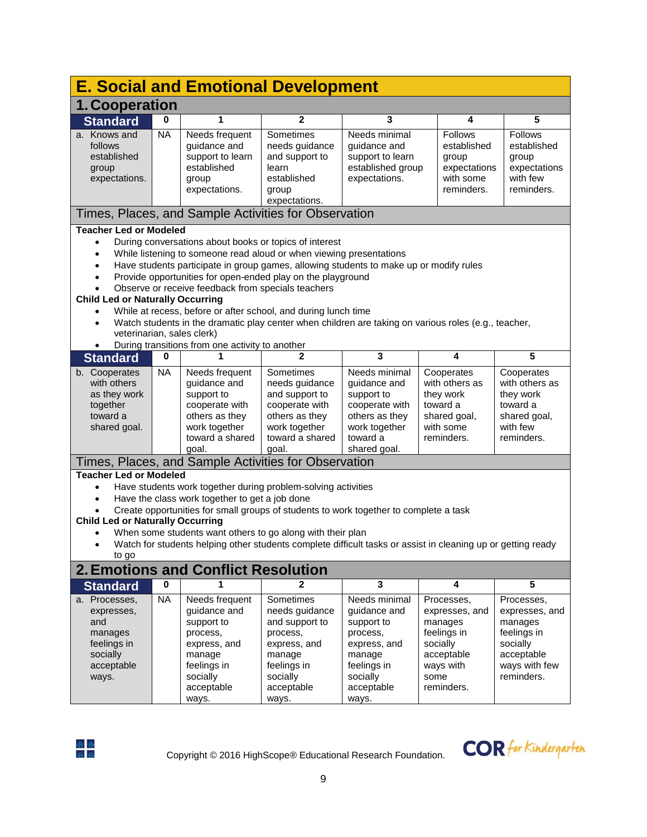|                                                                                                                  | <b>E. Social and Emotional Development</b>                                                                                                                                                                                                                                                                                                                                                                                                                                                                                                                                                                                       |                                                                                                                                      |                                                                                                                                       |                                                                                                                                     |                                                                                                                     |                                                                                                                 |  |  |  |  |  |  |
|------------------------------------------------------------------------------------------------------------------|----------------------------------------------------------------------------------------------------------------------------------------------------------------------------------------------------------------------------------------------------------------------------------------------------------------------------------------------------------------------------------------------------------------------------------------------------------------------------------------------------------------------------------------------------------------------------------------------------------------------------------|--------------------------------------------------------------------------------------------------------------------------------------|---------------------------------------------------------------------------------------------------------------------------------------|-------------------------------------------------------------------------------------------------------------------------------------|---------------------------------------------------------------------------------------------------------------------|-----------------------------------------------------------------------------------------------------------------|--|--|--|--|--|--|
|                                                                                                                  | 1. Cooperation                                                                                                                                                                                                                                                                                                                                                                                                                                                                                                                                                                                                                   |                                                                                                                                      |                                                                                                                                       |                                                                                                                                     |                                                                                                                     |                                                                                                                 |  |  |  |  |  |  |
| <b>Standard</b>                                                                                                  | 0                                                                                                                                                                                                                                                                                                                                                                                                                                                                                                                                                                                                                                | 1                                                                                                                                    | $\mathbf{2}$                                                                                                                          | 3                                                                                                                                   | 4                                                                                                                   | 5                                                                                                               |  |  |  |  |  |  |
| a. Knows and<br>follows<br>established<br>group<br>expectations.                                                 | <b>NA</b>                                                                                                                                                                                                                                                                                                                                                                                                                                                                                                                                                                                                                        | Needs frequent<br>guidance and<br>support to learn<br>established<br>group<br>expectations.                                          | Sometimes<br>needs guidance<br>and support to<br>learn<br>established<br>group<br>expectations.                                       | Needs minimal<br>guidance and<br>support to learn<br>established group<br>expectations.                                             | <b>Follows</b><br>established<br>group<br>expectations<br>with some<br>reminders.                                   | Follows<br>established<br>group<br>expectations<br>with few<br>reminders.                                       |  |  |  |  |  |  |
|                                                                                                                  | Times, Places, and Sample Activities for Observation                                                                                                                                                                                                                                                                                                                                                                                                                                                                                                                                                                             |                                                                                                                                      |                                                                                                                                       |                                                                                                                                     |                                                                                                                     |                                                                                                                 |  |  |  |  |  |  |
| $\bullet$<br>$\bullet$<br>$\bullet$<br>$\bullet$<br>$\bullet$<br>During transitions from one activity to another | <b>Teacher Led or Modeled</b><br>During conversations about books or topics of interest<br>While listening to someone read aloud or when viewing presentations<br>Have students participate in group games, allowing students to make up or modify rules<br>Provide opportunities for open-ended play on the playground<br>Observe or receive feedback from specials teachers<br><b>Child Led or Naturally Occurring</b><br>While at recess, before or after school, and during lunch time<br>Watch students in the dramatic play center when children are taking on various roles (e.g., teacher,<br>veterinarian, sales clerk) |                                                                                                                                      |                                                                                                                                       |                                                                                                                                     |                                                                                                                     |                                                                                                                 |  |  |  |  |  |  |
| <b>Standard</b>                                                                                                  | 0                                                                                                                                                                                                                                                                                                                                                                                                                                                                                                                                                                                                                                |                                                                                                                                      | 2                                                                                                                                     | 3                                                                                                                                   | 4                                                                                                                   | 5                                                                                                               |  |  |  |  |  |  |
| b. Cooperates<br>with others<br>as they work<br>together<br>toward a<br>shared goal.                             | <b>NA</b>                                                                                                                                                                                                                                                                                                                                                                                                                                                                                                                                                                                                                        | Needs frequent<br>guidance and<br>support to<br>cooperate with<br>others as they<br>work together<br>toward a shared<br>goal.        | Sometimes<br>needs guidance<br>and support to<br>cooperate with<br>others as they<br>work together<br>toward a shared<br>goal.        | Needs minimal<br>guidance and<br>support to<br>cooperate with<br>others as they<br>work together<br>toward a<br>shared goal.        | Cooperates<br>with others as<br>they work<br>toward a<br>shared goal,<br>with some<br>reminders.                    | Cooperates<br>with others as<br>they work<br>toward a<br>shared goal,<br>with few<br>reminders.                 |  |  |  |  |  |  |
|                                                                                                                  |                                                                                                                                                                                                                                                                                                                                                                                                                                                                                                                                                                                                                                  |                                                                                                                                      |                                                                                                                                       |                                                                                                                                     |                                                                                                                     |                                                                                                                 |  |  |  |  |  |  |
| $\bullet$<br>$\bullet$<br>to go                                                                                  | Times, Places, and Sample Activities for Observation<br><b>Teacher Led or Modeled</b><br>Have students work together during problem-solving activities<br>Have the class work together to get a job done<br>Create opportunities for small groups of students to work together to complete a task<br><b>Child Led or Naturally Occurring</b><br>When some students want others to go along with their plan<br>Watch for students helping other students complete difficult tasks or assist in cleaning up or getting ready                                                                                                       |                                                                                                                                      |                                                                                                                                       |                                                                                                                                     |                                                                                                                     |                                                                                                                 |  |  |  |  |  |  |
|                                                                                                                  |                                                                                                                                                                                                                                                                                                                                                                                                                                                                                                                                                                                                                                  | <b>2. Emotions and Conflict Resolution</b>                                                                                           |                                                                                                                                       |                                                                                                                                     |                                                                                                                     |                                                                                                                 |  |  |  |  |  |  |
| <b>Standard</b>                                                                                                  | 0                                                                                                                                                                                                                                                                                                                                                                                                                                                                                                                                                                                                                                | 1                                                                                                                                    | 2                                                                                                                                     | $\mathbf{3}$                                                                                                                        | 4                                                                                                                   | 5                                                                                                               |  |  |  |  |  |  |
| a. Processes,<br>expresses,<br>and<br>manages<br>feelings in<br>socially<br>acceptable<br>ways.                  | <b>NA</b>                                                                                                                                                                                                                                                                                                                                                                                                                                                                                                                                                                                                                        | Needs frequent<br>guidance and<br>support to<br>process,<br>express, and<br>manage<br>feelings in<br>socially<br>acceptable<br>ways. | Sometimes<br>needs guidance<br>and support to<br>process,<br>express, and<br>manage<br>feelings in<br>socially<br>acceptable<br>ways. | Needs minimal<br>guidance and<br>support to<br>process,<br>express, and<br>manage<br>feelings in<br>socially<br>acceptable<br>ways. | Processes,<br>expresses, and<br>manages<br>feelings in<br>socially<br>acceptable<br>ways with<br>some<br>reminders. | Processes,<br>expresses, and<br>manages<br>feelings in<br>socially<br>acceptable<br>ways with few<br>reminders. |  |  |  |  |  |  |